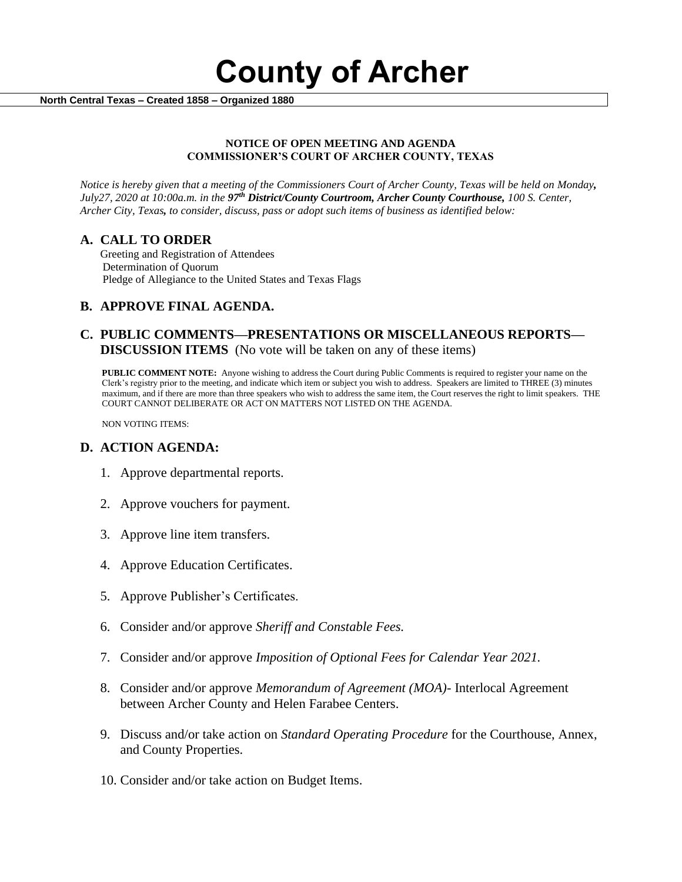**County of Archer** 

 **North Central Texas – Created 1858 – Organized 1880**

#### **NOTICE OF OPEN MEETING AND AGENDA COMMISSIONER'S COURT OF ARCHER COUNTY, TEXAS**

*Notice is hereby given that a meeting of the Commissioners Court of Archer County, Texas will be held on Monday, July27, 2020 at 10:00a.m. in the 97th District/County Courtroom, Archer County Courthouse, 100 S. Center, Archer City, Texas, to consider, discuss, pass or adopt such items of business as identified below:*

### **A. CALL TO ORDER**

 Greeting and Registration of Attendees Determination of Quorum Pledge of Allegiance to the United States and Texas Flags

## **B. APPROVE FINAL AGENDA.**

### **C. PUBLIC COMMENTS—PRESENTATIONS OR MISCELLANEOUS REPORTS— DISCUSSION ITEMS** (No vote will be taken on any of these items)

**PUBLIC COMMENT NOTE:** Anyone wishing to address the Court during Public Comments is required to register your name on the Clerk's registry prior to the meeting, and indicate which item or subject you wish to address. Speakers are limited to THREE (3) minutes maximum, and if there are more than three speakers who wish to address the same item, the Court reserves the right to limit speakers. THE COURT CANNOT DELIBERATE OR ACT ON MATTERS NOT LISTED ON THE AGENDA.

NON VOTING ITEMS:

### **D. ACTION AGENDA:**

- 1. Approve departmental reports.
- 2. Approve vouchers for payment.
- 3. Approve line item transfers.
- 4. Approve Education Certificates.
- 5. Approve Publisher's Certificates.
- 6. Consider and/or approve *Sheriff and Constable Fees.*
- 7. Consider and/or approve *Imposition of Optional Fees for Calendar Year 2021.*
- 8. Consider and/or approve *Memorandum of Agreement (MOA)-* Interlocal Agreement between Archer County and Helen Farabee Centers.
- 9. Discuss and/or take action on *Standard Operating Procedure* for the Courthouse, Annex, and County Properties.
- 10. Consider and/or take action on Budget Items.